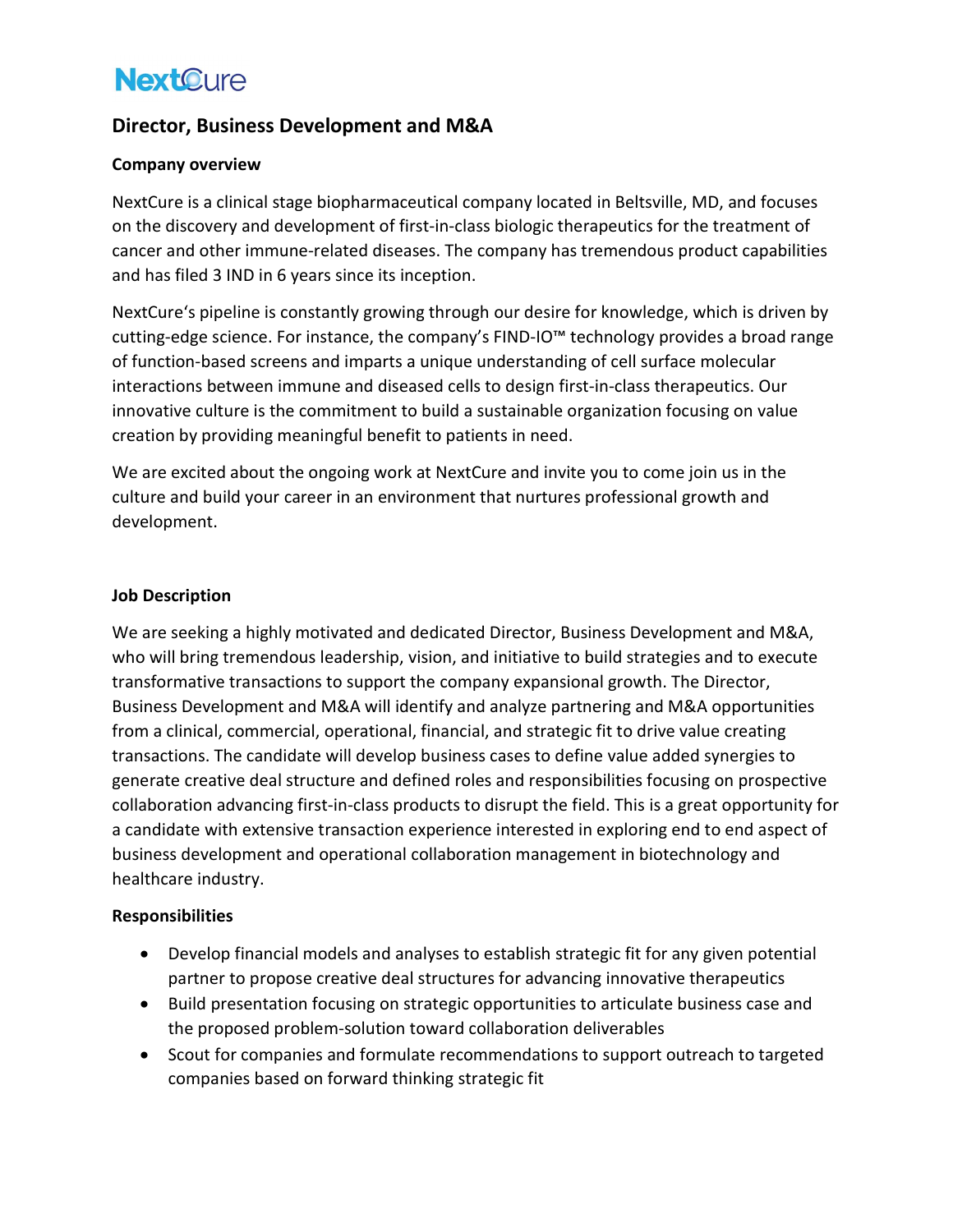## **NextCure**

## Director, Business Development and M&A

## Company overview

NextCure is a clinical stage biopharmaceutical company located in Beltsville, MD, and focuses on the discovery and development of first-in-class biologic therapeutics for the treatment of cancer and other immune-related diseases. The company has tremendous product capabilities and has filed 3 IND in 6 years since its inception.

NextCure's pipeline is constantly growing through our desire for knowledge, which is driven by cutting-edge science. For instance, the company's FIND-IO™ technology provides a broad range of function-based screens and imparts a unique understanding of cell surface molecular interactions between immune and diseased cells to design first-in-class therapeutics. Our innovative culture is the commitment to build a sustainable organization focusing on value creation by providing meaningful benefit to patients in need.

We are excited about the ongoing work at NextCure and invite you to come join us in the culture and build your career in an environment that nurtures professional growth and development.

### Job Description

We are seeking a highly motivated and dedicated Director, Business Development and M&A, who will bring tremendous leadership, vision, and initiative to build strategies and to execute transformative transactions to support the company expansional growth. The Director, Business Development and M&A will identify and analyze partnering and M&A opportunities from a clinical, commercial, operational, financial, and strategic fit to drive value creating transactions. The candidate will develop business cases to define value added synergies to generate creative deal structure and defined roles and responsibilities focusing on prospective collaboration advancing first-in-class products to disrupt the field. This is a great opportunity for a candidate with extensive transaction experience interested in exploring end to end aspect of business development and operational collaboration management in biotechnology and healthcare industry.

## Responsibilities

- Develop financial models and analyses to establish strategic fit for any given potential partner to propose creative deal structures for advancing innovative therapeutics
- Build presentation focusing on strategic opportunities to articulate business case and the proposed problem-solution toward collaboration deliverables
- Scout for companies and formulate recommendations to support outreach to targeted companies based on forward thinking strategic fit